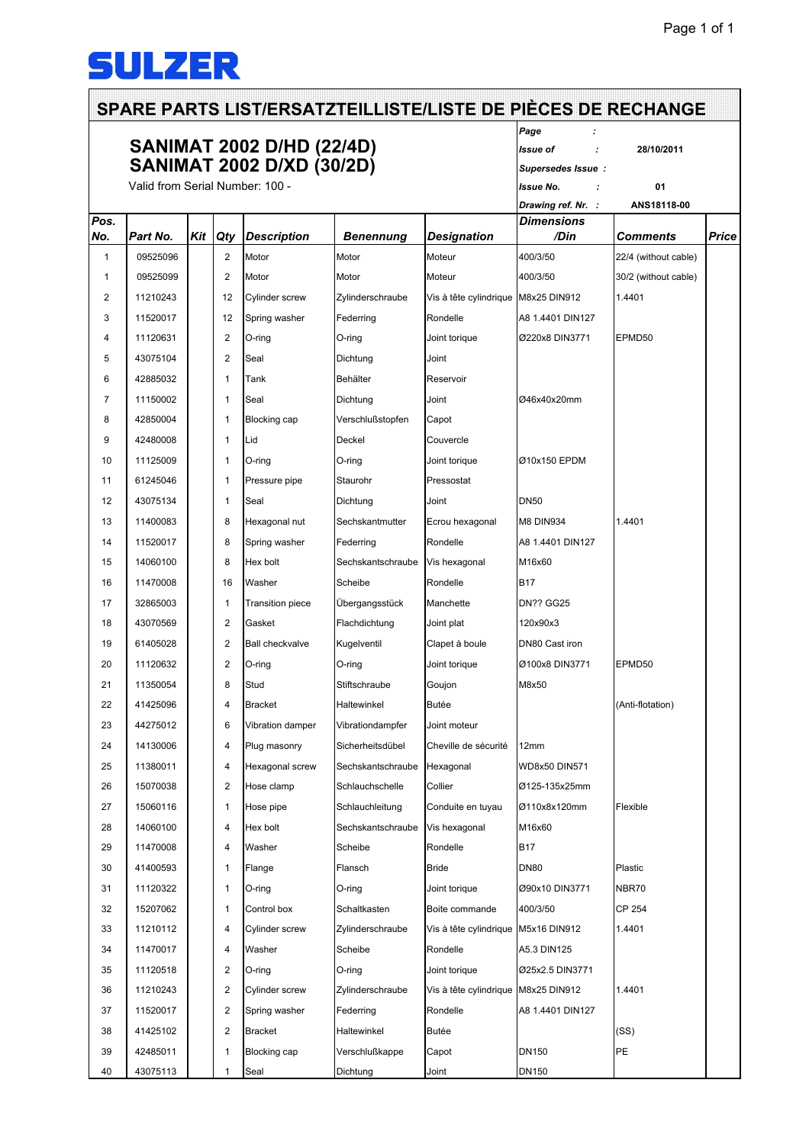## **SULZER**

|      | <b>SANIMAT 2002 D/HD (22/4D)</b><br><b>SANIMAT 2002 D/XD (30/2D)</b><br>Valid from Serial Number: 100 - |     |                         |                         |                   |                                     | Page<br>Issue of<br>Supersedes Issue:   | 28/10/2011           |       |
|------|---------------------------------------------------------------------------------------------------------|-----|-------------------------|-------------------------|-------------------|-------------------------------------|-----------------------------------------|----------------------|-------|
|      |                                                                                                         |     |                         |                         |                   |                                     | <b>Issue No.</b>                        | 01                   |       |
| Pos. |                                                                                                         |     |                         |                         |                   |                                     | Drawing ref. Nr. :<br><b>Dimensions</b> | ANS18118-00          |       |
| No.  | Part No.                                                                                                | Kit | Qty                     | <b>Description</b>      | Benennung         | <b>Designation</b>                  | /Din                                    | Comments             | Price |
| 1    | 09525096                                                                                                |     | $\overline{2}$          | Motor                   | Motor             | Moteur                              | 400/3/50                                | 22/4 (without cable) |       |
| 1    | 09525099                                                                                                |     | $\overline{2}$          | Motor                   | Motor             | Moteur                              | 400/3/50                                | 30/2 (without cable) |       |
| 2    | 11210243                                                                                                |     | 12                      | Cylinder screw          | Zylinderschraube  | Vis à tête cylindrique M8x25 DIN912 |                                         | 1.4401               |       |
| 3    | 11520017                                                                                                |     | 12                      | Spring washer           | Federring         | Rondelle                            | A8 1.4401 DIN127                        |                      |       |
| 4    | 11120631                                                                                                |     | $\overline{2}$          | O-ring                  | O-ring            | Joint torique                       | Ø220x8 DIN3771                          | EPMD50               |       |
| 5    | 43075104                                                                                                |     | $\overline{2}$          | Seal                    | Dichtung          | Joint                               |                                         |                      |       |
| 6    | 42885032                                                                                                |     | 1                       | Tank                    | Behälter          | Reservoir                           |                                         |                      |       |
| 7    | 11150002                                                                                                |     | $\mathbf{1}$            | Seal                    | Dichtung          | Joint                               | Ø46x40x20mm                             |                      |       |
| 8    | 42850004                                                                                                |     | $\mathbf{1}$            | <b>Blocking cap</b>     | Verschlußstopfen  | Capot                               |                                         |                      |       |
| 9    | 42480008                                                                                                |     | $\mathbf{1}$            | Lid                     | Deckel            | Couvercle                           |                                         |                      |       |
| 10   | 11125009                                                                                                |     | 1                       | O-ring                  | O-ring            | Joint torique                       | Ø10x150 EPDM                            |                      |       |
| 11   | 61245046                                                                                                |     | 1                       | Pressure pipe           | Staurohr          | Pressostat                          |                                         |                      |       |
| 12   | 43075134                                                                                                |     | 1                       | Seal                    | Dichtung          | Joint                               | <b>DN50</b>                             |                      |       |
| 13   | 11400083                                                                                                |     | 8                       | Hexagonal nut           | Sechskantmutter   | Ecrou hexagonal                     | <b>M8 DIN934</b>                        | 1.4401               |       |
| 14   | 11520017                                                                                                |     | 8                       | Spring washer           | Federring         | Rondelle                            | A8 1.4401 DIN127                        |                      |       |
| 15   | 14060100                                                                                                |     | 8                       | Hex bolt                | Sechskantschraube | Vis hexagonal                       | M16x60                                  |                      |       |
| 16   | 11470008                                                                                                |     | 16                      | Washer                  | Scheibe           | Rondelle                            | <b>B17</b>                              |                      |       |
| 17   | 32865003                                                                                                |     | $\mathbf{1}$            | <b>Transition piece</b> | Übergangsstück    | Manchette                           | <b>DN?? GG25</b>                        |                      |       |
| 18   | 43070569                                                                                                |     | $\overline{2}$          | Gasket                  | Flachdichtung     | Joint plat                          | 120x90x3                                |                      |       |
| 19   | 61405028                                                                                                |     | $\overline{2}$          | <b>Ball checkvalve</b>  | Kugelventil       | Clapet à boule                      | DN80 Cast iron                          |                      |       |
| 20   | 11120632                                                                                                |     | $\overline{2}$          | O-ring                  | O-ring            | Joint torique                       | Ø100x8 DIN3771                          | EPMD50               |       |
| 21   | 11350054                                                                                                |     | 8                       | Stud                    | Stiftschraube     | Goujon                              | M8x50                                   |                      |       |
| 22   | 41425096                                                                                                |     | 4                       | <b>Bracket</b>          | Haltewinkel       | Butée                               |                                         | (Anti-flotation)     |       |
| 23   | 44275012                                                                                                |     | 6                       | Vibration damper        | Vibrationdampfer  | Joint moteur                        |                                         |                      |       |
| 24   | 14130006                                                                                                |     | 4                       | Plug masonry            | Sicherheitsdübel  | Cheville de sécurité                | 12mm                                    |                      |       |
| 25   | 11380011                                                                                                |     | 4                       | Hexagonal screw         | Sechskantschraube | Hexagonal                           | WD8x50 DIN571                           |                      |       |
| 26   | 15070038                                                                                                |     | $\overline{2}$          | Hose clamp              | Schlauchschelle   | Collier                             | Ø125-135x25mm                           |                      |       |
| 27   | 15060116                                                                                                |     | 1                       | Hose pipe               | Schlauchleitung   | Conduite en tuyau                   | Ø110x8x120mm                            | Flexible             |       |
| 28   | 14060100                                                                                                |     | 4                       | Hex bolt                | Sechskantschraube | Vis hexagonal                       | M16x60                                  |                      |       |
| 29   | 11470008                                                                                                |     | 4                       | Washer                  | Scheibe           | Rondelle                            | <b>B17</b>                              |                      |       |
| 30   | 41400593                                                                                                |     | 1                       | Flange                  | Flansch           | Bride                               | <b>DN80</b>                             | Plastic              |       |
| 31   | 11120322                                                                                                |     | $\mathbf{1}$            | O-ring                  | O-ring            | Joint torique                       | Ø90x10 DIN3771                          | NBR70                |       |
| 32   | 15207062                                                                                                |     | 1                       | Control box             | Schaltkasten      | Boite commande                      | 400/3/50                                | CP 254               |       |
| 33   | 11210112                                                                                                |     | 4                       | Cylinder screw          | Zylinderschraube  | Vis à tête cylindrique M5x16 DIN912 |                                         | 1.4401               |       |
| 34   | 11470017                                                                                                |     | 4                       | Washer                  | Scheibe           | Rondelle                            | A5.3 DIN125                             |                      |       |
| 35   | 11120518                                                                                                |     | $\overline{\mathbf{c}}$ | O-ring                  | O-ring            | Joint torique                       | Ø25x2.5 DIN3771                         |                      |       |
| 36   | 11210243                                                                                                |     | $\overline{\mathbf{c}}$ | Cylinder screw          | Zylinderschraube  | Vis à tête cylindrique M8x25 DIN912 |                                         | 1.4401               |       |
| 37   | 11520017                                                                                                |     | $\boldsymbol{2}$        | Spring washer           | Federring         | Rondelle                            | A8 1.4401 DIN127                        |                      |       |
| 38   | 41425102                                                                                                |     | $\overline{\mathbf{c}}$ | Bracket                 | Haltewinkel       | Butée                               |                                         | (SS)                 |       |
| 39   | 42485011                                                                                                |     | 1                       | Blocking cap            | Verschlußkappe    | Capot                               | DN150                                   | PE                   |       |
| 40   | 43075113                                                                                                |     | 1                       | Seal                    | Dichtung          | Joint                               | DN150                                   |                      |       |